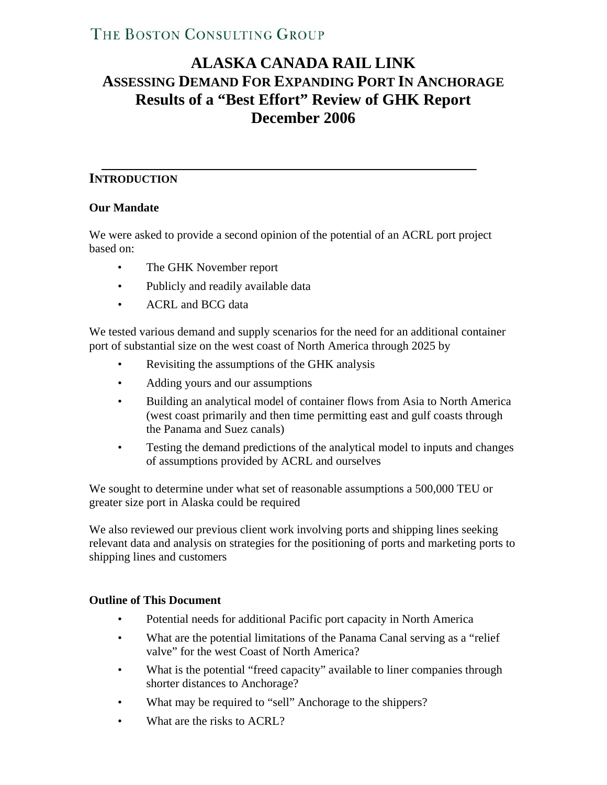# **ALASKA CANADA RAIL LINK ASSESSING DEMAND FOR EXPANDING PORT IN ANCHORAGE Results of a "Best Effort" Review of GHK Report December 2006**

### **INTRODUCTION**

#### **Our Mandate**

We were asked to provide a second opinion of the potential of an ACRL port project based on:

- The GHK November report
- Publicly and readily available data
- ACRL and BCG data

We tested various demand and supply scenarios for the need for an additional container port of substantial size on the west coast of North America through 2025 by

- Revisiting the assumptions of the GHK analysis
- Adding yours and our assumptions
- Building an analytical model of container flows from Asia to North America (west coast primarily and then time permitting east and gulf coasts through the Panama and Suez canals)
- Testing the demand predictions of the analytical model to inputs and changes of assumptions provided by ACRL and ourselves

We sought to determine under what set of reasonable assumptions a 500,000 TEU or greater size port in Alaska could be required

We also reviewed our previous client work involving ports and shipping lines seeking relevant data and analysis on strategies for the positioning of ports and marketing ports to shipping lines and customers

#### **Outline of This Document**

- Potential needs for additional Pacific port capacity in North America
- What are the potential limitations of the Panama Canal serving as a "relief" valve" for the west Coast of North America?
- What is the potential "freed capacity" available to liner companies through shorter distances to Anchorage?
- What may be required to "sell" Anchorage to the shippers?
- What are the risks to ACRL?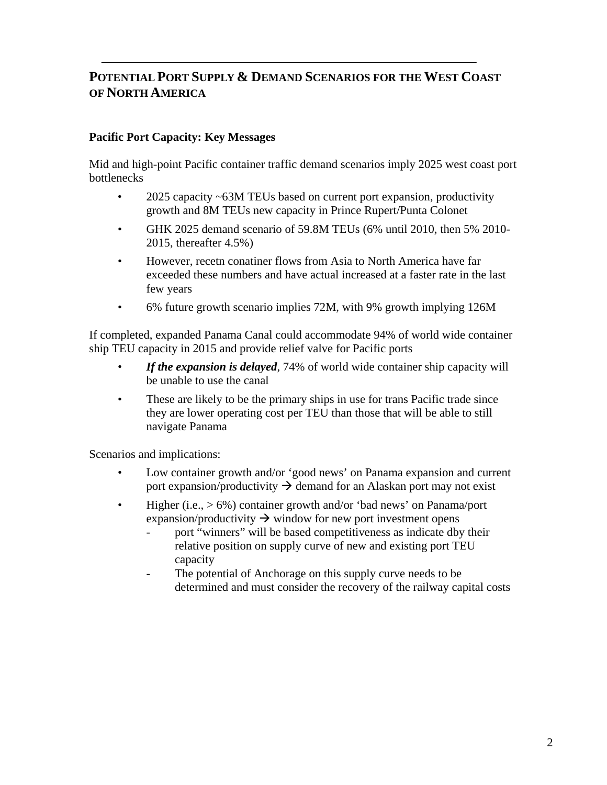## **POTENTIAL PORT SUPPLY & DEMAND SCENARIOS FOR THE WEST COAST OF NORTH AMERICA**

### **Pacific Port Capacity: Key Messages**

Mid and high-point Pacific container traffic demand scenarios imply 2025 west coast port bottlenecks

- 2025 capacity ~63M TEUs based on current port expansion, productivity growth and 8M TEUs new capacity in Prince Rupert/Punta Colonet
- GHK 2025 demand scenario of 59.8M TEUs (6% until 2010, then 5% 2010- 2015, thereafter 4.5%)
- However, recetn conatiner flows from Asia to North America have far exceeded these numbers and have actual increased at a faster rate in the last few years
- 6% future growth scenario implies 72M, with 9% growth implying 126M

If completed, expanded Panama Canal could accommodate 94% of world wide container ship TEU capacity in 2015 and provide relief valve for Pacific ports

- If the expansion is delayed, 74% of world wide container ship capacity will be unable to use the canal
- These are likely to be the primary ships in use for trans Pacific trade since they are lower operating cost per TEU than those that will be able to still navigate Panama

Scenarios and implications:

- Low container growth and/or 'good news' on Panama expansion and current port expansion/productivity  $\rightarrow$  demand for an Alaskan port may not exist
- Higher (i.e.,  $> 6\%$ ) container growth and/or 'bad news' on Panama/port expansion/productivity  $\rightarrow$  window for new port investment opens
	- port "winners" will be based competitiveness as indicate dby their relative position on supply curve of new and existing port TEU capacity
	- The potential of Anchorage on this supply curve needs to be determined and must consider the recovery of the railway capital costs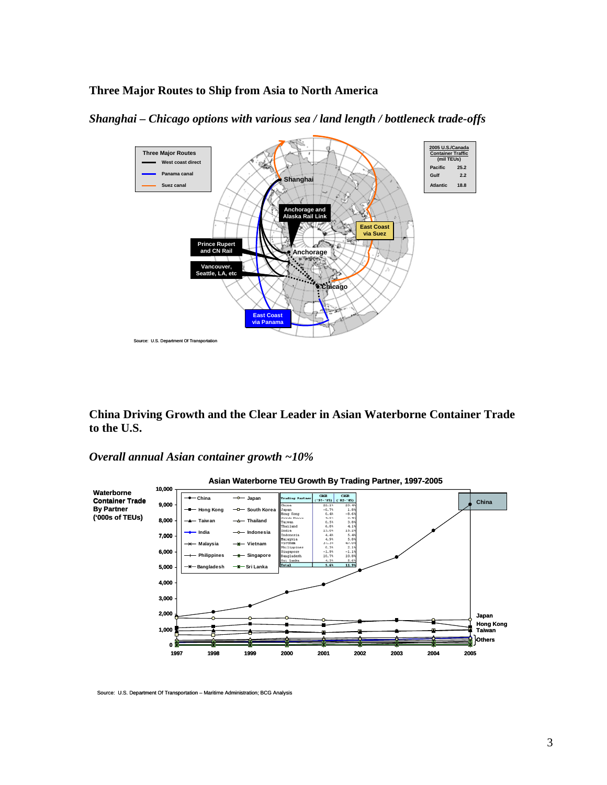#### **Three Major Routes to Ship from Asia to North America**



*Shanghai – Chicago options with various sea / land length / bottleneck trade-offs* 

**China Driving Growth and the Clear Leader in Asian Waterborne Container Trade to the U.S.** 

#### *Overall annual Asian container growth ~10%*



Source: U.S. Department Of Transportation – Maritime Administration; BCG Analysis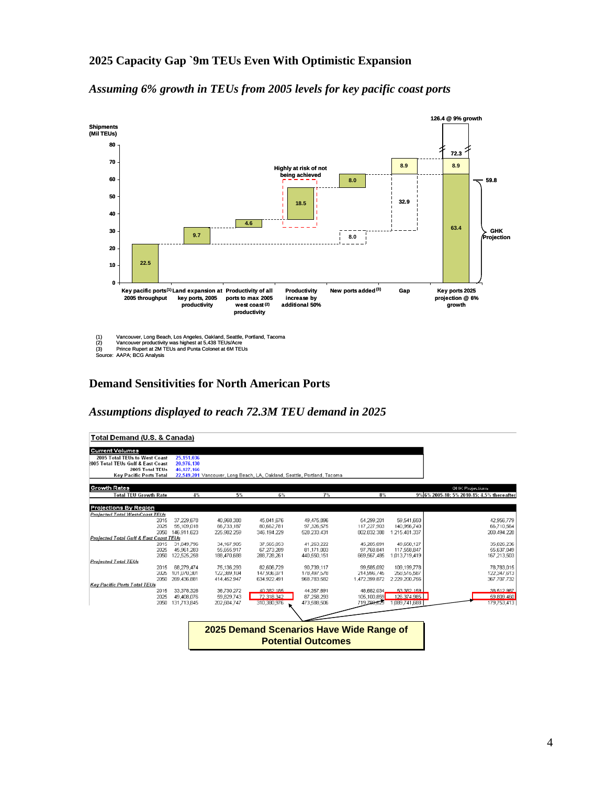#### **2025 Capacity Gap `9m TEUs Even With Optimistic Expansion**

*Assuming 6% growth in TEUs from 2005 levels for key pacific coast ports* 



#### **Demand Sensitivities for North American Ports**

#### *Assumptions displayed to reach 72.3M TEU demand in 2025*

| Total Demand (U.S. & Canada)           |             |             |             |                                                                          |               |               |                                            |
|----------------------------------------|-------------|-------------|-------------|--------------------------------------------------------------------------|---------------|---------------|--------------------------------------------|
| <b>Current Volumes</b>                 |             |             |             |                                                                          |               |               |                                            |
| 2005 Total TEUs to West Coast          | 25.151.036  |             |             |                                                                          |               |               |                                            |
| 2005 Total TEUs Gulf & East Coast      | 20,976,130  |             |             |                                                                          |               |               |                                            |
| 2005 Total TEUs                        | 46.127.166  |             |             |                                                                          |               |               |                                            |
| <b>Key Pacific Ports Total</b>         |             |             |             | 22,549,201 Vancouver, Long Beach, LA, Oakland, Seattle, Portland, Tacoma |               |               |                                            |
|                                        |             |             |             |                                                                          |               |               |                                            |
| <b>Growth Rates</b>                    |             |             |             |                                                                          |               |               | <b>GHK Projections</b>                     |
| <b>Total TEU Growth Rate</b>           |             | 4%<br>5%    | 6%          | 7%                                                                       | 8%            |               | 9% 6% 2005-10: 5% 2010-15: 4.5% thereafter |
|                                        |             |             |             |                                                                          |               |               |                                            |
| Projections By Region                  |             |             |             |                                                                          |               |               |                                            |
| <b>Projected Total West-Coast TFUs</b> |             |             |             |                                                                          |               |               |                                            |
| 2015                                   | 37.229.678  | 40.968.388  | 45.041.676  | 49.475.896                                                               | 54.299.201    | 59.541.650    | 42.956.779                                 |
| 2025                                   | 55,109,018  | 66,733,187  | 80,662,781  | 97,326,575                                                               | 117,227,903   | 140,956,740   | 66,710,564                                 |
| 2050                                   | 146.911.623 | 225.982.259 | 346.194.229 | 528.233.431                                                              | 802.832.388   | 1.215.481.337 | 200.494.228                                |
| Projected Total Gulf & East Coast TEUs |             |             |             |                                                                          |               |               |                                            |
| 2015                                   | 31,049,796  | 34,167,905  | 37,565,053  | 41,263,222                                                               | 45,265,891    | 49,658,127    | 35,026,236                                 |
| 2025                                   | 45,961,283  | 55,655,917  | 67,273,289  | 81.171.003                                                               | 97.768.841    | 117,558,847   | 55,637,049                                 |
| 2050                                   | 122,525,258 | 188.470.688 | 288,728,261 | 440,550,151                                                              | 669,567,485   | 1,013,719,419 | 167,213,503                                |
| <b>Projected Total TEUs</b>            |             |             |             |                                                                          |               |               |                                            |
| 2015                                   | 68,279,474  | 75,136,293  | 82,606,729  | 90,739,117                                                               | 99,585,092    | 109,199,778   | 78,783,015                                 |
| 2025                                   | 101,070,301 | 122,389,104 | 147.936.071 | 178,497,578                                                              | 214.996.745   | 258,515,587   | 122,347,613                                |
| 2050                                   | 269.436.881 | 414.452.947 | 634.922.491 | 968.783.582                                                              | 1.472.399.872 | 2.229.200.756 | 367.707.732                                |
| <b>Key Pacific Ports Total TEUs</b>    |             |             |             |                                                                          |               |               |                                            |
| 2015                                   | 33,378,326  | 36,730,272  | 40.382.185  | 44,357,691                                                               | 48.682.034    | 53.382.159    | 38.512.967                                 |
| 2025                                   | 49,408,076  | 59,829,743  | 72.318.342  | 87 258 293                                                               | 105.100.859   | 126.374.985   | 59,809,460                                 |
| 2050                                   | 131,713,845 | 202.604.747 | 310,380,976 | 473,588,506                                                              | 719.780.629   | 1,089,741,688 | 179.753.413                                |
|                                        |             |             |             |                                                                          |               |               |                                            |
|                                        |             |             |             |                                                                          |               |               |                                            |
|                                        |             |             |             |                                                                          |               |               |                                            |
|                                        |             |             |             | 2025 Demand Scenarios Have Wide Range of                                 |               |               |                                            |
|                                        |             |             |             |                                                                          |               |               |                                            |
|                                        |             |             |             | <b>Potential Outcomes</b>                                                |               |               |                                            |
|                                        |             |             |             |                                                                          |               |               |                                            |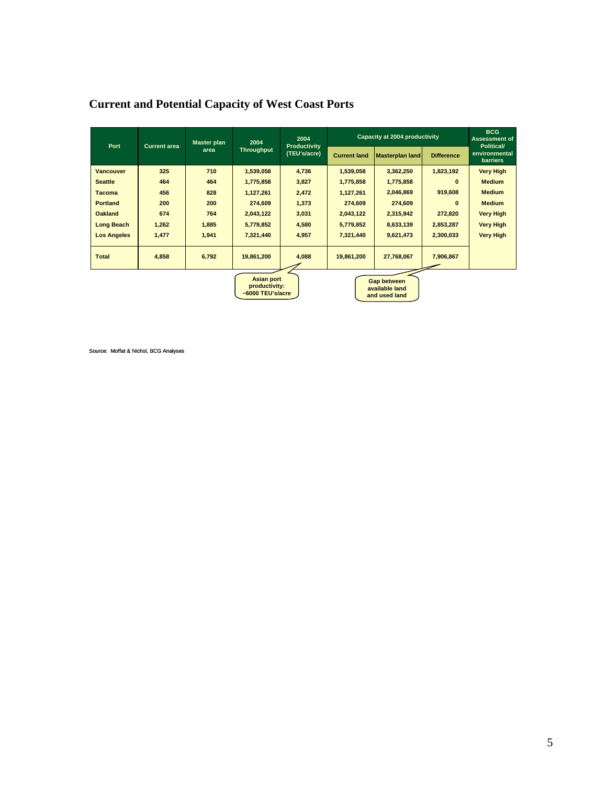| Port               | <b>Current area</b> | <b>Master plan</b>                                           | 2004       | 2004<br><b>Productivity</b><br>(TEU's/acre)           | Capacity at 2004 productivity | <b>BCG</b><br><b>Assessment of</b><br><b>Political/</b> |                   |                                  |
|--------------------|---------------------|--------------------------------------------------------------|------------|-------------------------------------------------------|-------------------------------|---------------------------------------------------------|-------------------|----------------------------------|
|                    |                     | area                                                         | Throughput |                                                       | <b>Current land</b>           | Masterplan land                                         | <b>Difference</b> | environmental<br><b>barriers</b> |
| <b>Vancouver</b>   | 325                 | 710                                                          | 1,539,058  | 4,736                                                 | 1,539,058                     | 3,362,250                                               | 1,823,192         | <b>Very High</b>                 |
| <b>Seattle</b>     | 464                 | 464                                                          | 1,775,858  | 3,827                                                 | 1,775,858                     | 1,775,858                                               | $\bf{0}$          | <b>Medium</b>                    |
| <b>Tacoma</b>      | 456                 | 828                                                          | 1,127,261  | 2,472                                                 | 1,127,261                     | 2,046,869                                               | 919,608           | <b>Medium</b>                    |
| <b>Portland</b>    | 200                 | 200                                                          | 274,609    | 1,373                                                 | 274,609                       | 274,609                                                 | $\bf{0}$          | <b>Medium</b>                    |
| <b>Oakland</b>     | 674                 | 764                                                          | 2,043,122  | 3,031                                                 | 2,043,122                     | 2,315,942                                               | 272,820           | <b>Very High</b>                 |
| <b>Long Beach</b>  | 1,262               | 1,885                                                        | 5,779,852  | 4,580                                                 | 5,779,852                     | 8,633,139                                               | 2,853,287         | <b>Very High</b>                 |
| <b>Los Angeles</b> | 1,477               | 1,941                                                        | 7,321,440  | 4,957                                                 | 7,321,440                     | 9,621,473                                               | 2,300,033         | <b>Very High</b>                 |
| <b>Total</b>       | 4,858               | 6,792                                                        | 19,861,200 | 4,088                                                 | 19,861,200                    | 27,768,067                                              | 7,906,867         |                                  |
|                    |                     | <b>Asian port</b><br>productivity:<br>$\sim$ 6000 TEU's/acre |            | <b>Gap between</b><br>available land<br>and used land |                               |                                                         |                   |                                  |

## **Current and Potential Capacity of West Coast Ports**

Source: Moffat & Nichol, BCG Analyses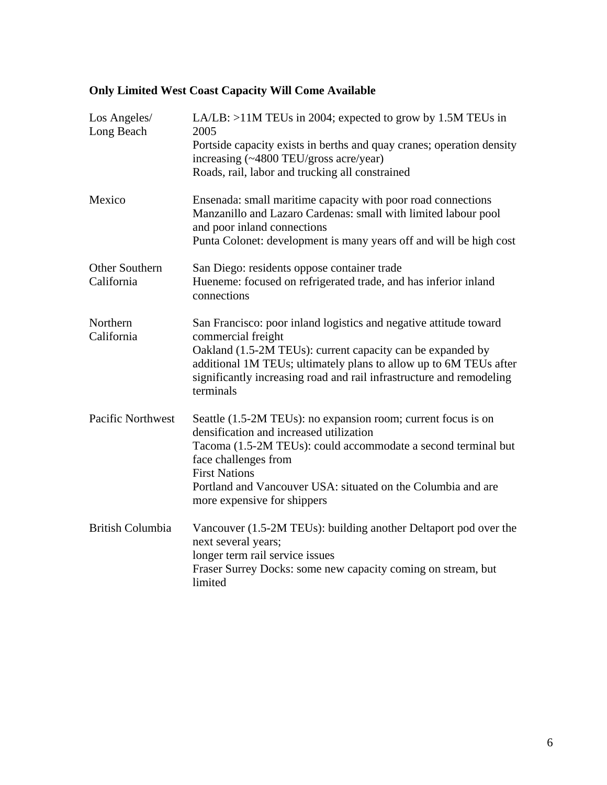# **Only Limited West Coast Capacity Will Come Available**

| Los Angeles/<br>Long Beach   | LA/LB: >11M TEUs in 2004; expected to grow by 1.5M TEUs in<br>2005<br>Portside capacity exists in berths and quay cranes; operation density<br>increasing (~4800 TEU/gross acre/year)<br>Roads, rail, labor and trucking all constrained                                                                                 |
|------------------------------|--------------------------------------------------------------------------------------------------------------------------------------------------------------------------------------------------------------------------------------------------------------------------------------------------------------------------|
| Mexico                       | Ensenada: small maritime capacity with poor road connections<br>Manzanillo and Lazaro Cardenas: small with limited labour pool<br>and poor inland connections<br>Punta Colonet: development is many years off and will be high cost                                                                                      |
| Other Southern<br>California | San Diego: residents oppose container trade<br>Hueneme: focused on refrigerated trade, and has inferior inland<br>connections                                                                                                                                                                                            |
| Northern<br>California       | San Francisco: poor inland logistics and negative attitude toward<br>commercial freight<br>Oakland (1.5-2M TEUs): current capacity can be expanded by<br>additional 1M TEUs; ultimately plans to allow up to 6M TEUs after<br>significantly increasing road and rail infrastructure and remodeling<br>terminals          |
| <b>Pacific Northwest</b>     | Seattle (1.5-2M TEUs): no expansion room; current focus is on<br>densification and increased utilization<br>Tacoma (1.5-2M TEUs): could accommodate a second terminal but<br>face challenges from<br><b>First Nations</b><br>Portland and Vancouver USA: situated on the Columbia and are<br>more expensive for shippers |
| <b>British Columbia</b>      | Vancouver (1.5-2M TEUs): building another Deltaport pod over the<br>next several years;<br>longer term rail service issues<br>Fraser Surrey Docks: some new capacity coming on stream, but<br>limited                                                                                                                    |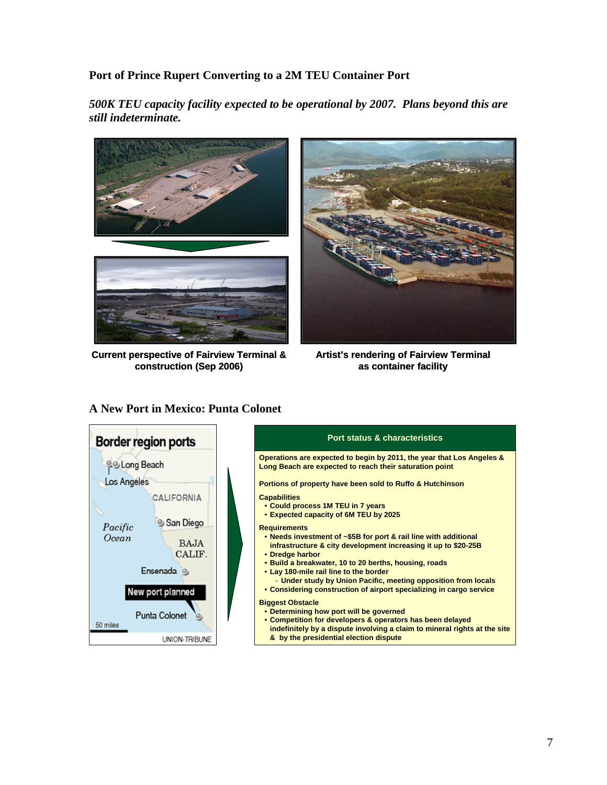### **Port of Prince Rupert Converting to a 2M TEU Container Port**

*500K TEU capacity facility expected to be operational by 2007. Plans beyond this are still indeterminate.* 



**Current perspective of Fairview Terminal & construction (Sep 2006)**



**Artist's rendering of Fairview Terminal as container facility**

#### **A New Port in Mexico: Punta Colonet**



#### **Port status & characteristics**

**Operations are expected to begin by 2011, the year that Los Angeles & Long Beach are expected to reach their saturation point**

**Portions of property have been sold to Ruffo & Hutchinson**

#### **Capabilities**

- **Could process 1M TEU in 7 years**
- **Expected capacity of 6M TEU by 2025**

#### **Requirements**

- **Needs investment of ~\$5B for port & rail line with additional infrastructure & city development increasing it up to \$20-25B**
- **Dredge harbor**
- **Build a breakwater, 10 to 20 berths, housing, roads**
- **Lay 180-mile rail line to the border** - **Under study by Union Pacific, meeting opposition from locals** • **Considering construction of airport specializing in cargo service**
- **Biggest Obstacle**
- **Determining how port will be governed**
- **Competition for developers & operators has been delayed indefinitely by a dispute involving a claim to mineral rights at the site & by the presidential election dispute**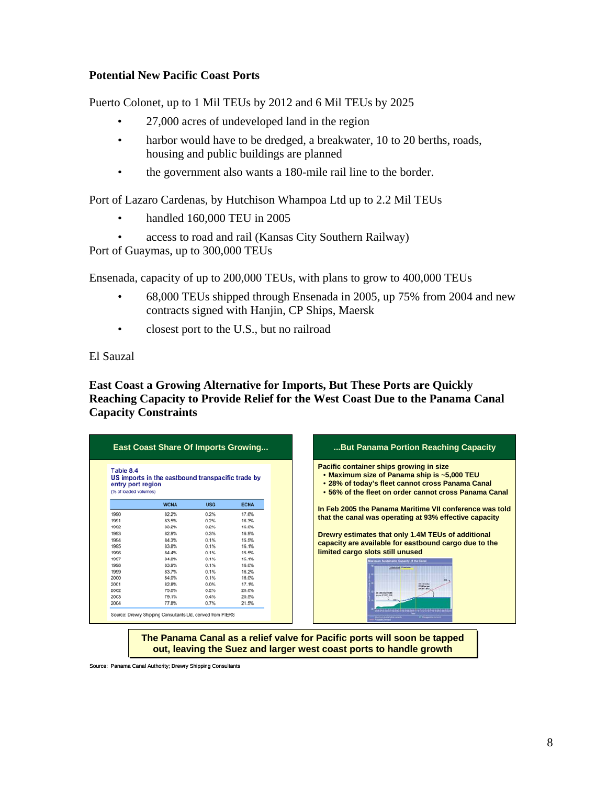#### **Potential New Pacific Coast Ports**

Puerto Colonet, up to 1 Mil TEUs by 2012 and 6 Mil TEUs by 2025

- 27,000 acres of undeveloped land in the region
- harbor would have to be dredged, a breakwater, 10 to 20 berths, roads, housing and public buildings are planned
- the government also wants a 180-mile rail line to the border.

Port of Lazaro Cardenas, by Hutchison Whampoa Ltd up to 2.2 Mil TEUs

- handled 160,000 TEU in 2005
- access to road and rail (Kansas City Southern Railway)

Port of Guaymas, up to 300,000 TEUs

Ensenada, capacity of up to 200,000 TEUs, with plans to grow to 400,000 TEUs

- 68,000 TEUs shipped through Ensenada in 2005, up 75% from 2004 and new contracts signed with Hanjin, CP Ships, Maersk
- closest port to the U.S., but no railroad

#### El Sauzal

#### **East Coast a Growing Alternative for Imports, But These Ports are Quickly Reaching Capacity to Provide Relief for the West Coast Due to the Panama Canal Capacity Constraints**

| entry port region<br>(% of loaded volumes) |                         |                                                                                   |
|--------------------------------------------|-------------------------|-----------------------------------------------------------------------------------|
| <b>WCNA</b>                                | <b>USG</b>              | <b>ECNA</b>                                                                       |
|                                            |                         | 17.6%                                                                             |
|                                            |                         | 16.3%                                                                             |
|                                            |                         | 16.6%                                                                             |
| 82.9%                                      |                         | 16.9%                                                                             |
| 84.3%                                      | 0.1%                    | 15.5%                                                                             |
| 83.8%                                      | 0.1%                    | 16.1%                                                                             |
| 84.4%                                      | 0.1%                    | 15.5%                                                                             |
| 84.8%                                      | 0.1%                    | 15.1%                                                                             |
| 83.9%                                      | 0.1%                    | 16.0%                                                                             |
| 83.7%                                      | 0.1%                    | 16.2%                                                                             |
| 84.0%                                      | 0.1%                    | 16.0%                                                                             |
| 82.8%                                      | 0.0%                    | 17.1%                                                                             |
| 79.8%                                      | 0.2%                    | 20.0%                                                                             |
| 79.1%                                      | 0.4%                    | 20.5%                                                                             |
|                                            |                         | 21.5%                                                                             |
|                                            | 82.2%<br>83.5%<br>83.2% | US imports in the eastbound transpacific trade by<br>0.2%<br>0.2%<br>0.2%<br>0.3% |

**out, leaving the Suez and larger west coast ports to handle growth out, leaving the Suez and larger west coast ports to handle growth**

Source: Panama Canal Authority; Drewry Shipping Consultants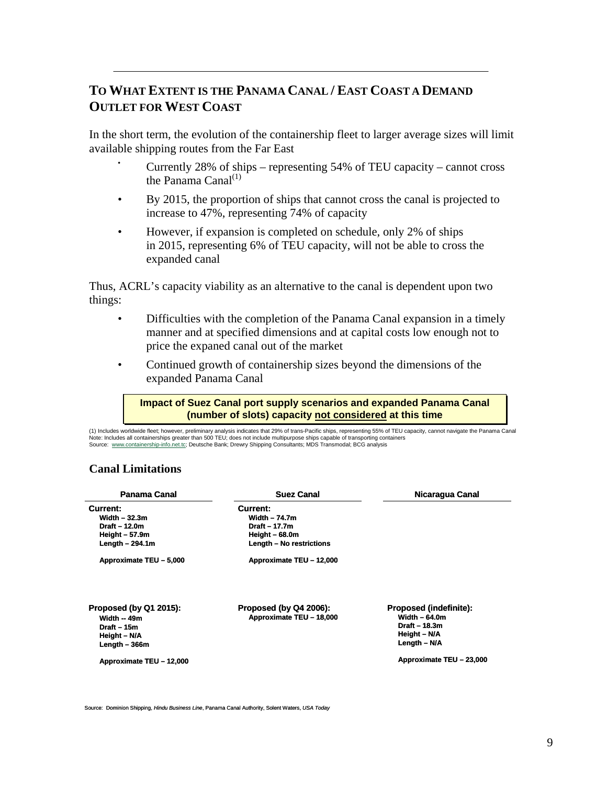## **TO WHAT EXTENT IS THE PANAMA CANAL / EAST COAST A DEMAND OUTLET FOR WEST COAST**

In the short term, the evolution of the containership fleet to larger average sizes will limit available shipping routes from the Far East

- Currently 28% of ships representing 54% of TEU capacity cannot cross the Panama Canal $^{(1)}$
- By 2015, the proportion of ships that cannot cross the canal is projected to increase to 47%, representing 74% of capacity
- However, if expansion is completed on schedule, only 2% of ships in 2015, representing 6% of TEU capacity, will not be able to cross the expanded canal

Thus, ACRL's capacity viability as an alternative to the canal is dependent upon two things:

- Difficulties with the completion of the Panama Canal expansion in a timely manner and at specified dimensions and at capital costs low enough not to price the expaned canal out of the market
- Continued growth of containership sizes beyond the dimensions of the expanded Panama Canal

#### **Impact of Suez Canal port supply scenarios and expanded Panama Canal Impact of Suez Canal port supply scenarios and expanded Panama Canal (number of slots) capacity not considered at this time (number of slots) capacity not considered at this time**

(1) No So Includes worldwide fleet; however, preliminary analysis indicates that 29% of trans-Pacific ships, representing 55% of TEU capacity, cannot navigate the Panama Canal<br>te: Includes all containerships greater than 500 TEU; do

#### **Canal Limitations**

| Panama Canal                                                                             | <b>Suez Canal</b>                                              | Nicaragua Canal                                                                                   |
|------------------------------------------------------------------------------------------|----------------------------------------------------------------|---------------------------------------------------------------------------------------------------|
| Current:<br>Width $-32.3m$<br>Draft - 12.0m<br>Height $-57.9m$                           | Current:<br>Width $-74.7m$<br>Draft - 17.7m<br>Height $-68.0m$ |                                                                                                   |
| Length $-294.1m$<br>Approximate TEU - 5,000                                              | Length - No restrictions<br>Approximate TEU - 12,000           |                                                                                                   |
| Proposed (by Q1 2015):<br>Width $-49m$<br>Draft $-15m$<br>Height - N/A<br>Length $-366m$ | Proposed (by Q4 2006):<br>Approximate TEU - 18,000             | <b>Proposed (indefinite):</b><br>Width $-64.0m$<br>Draft $-18.3m$<br>Height - N/A<br>Length - N/A |
| Approximate TEU - 12,000                                                                 |                                                                | Approximate TEU - 23,000                                                                          |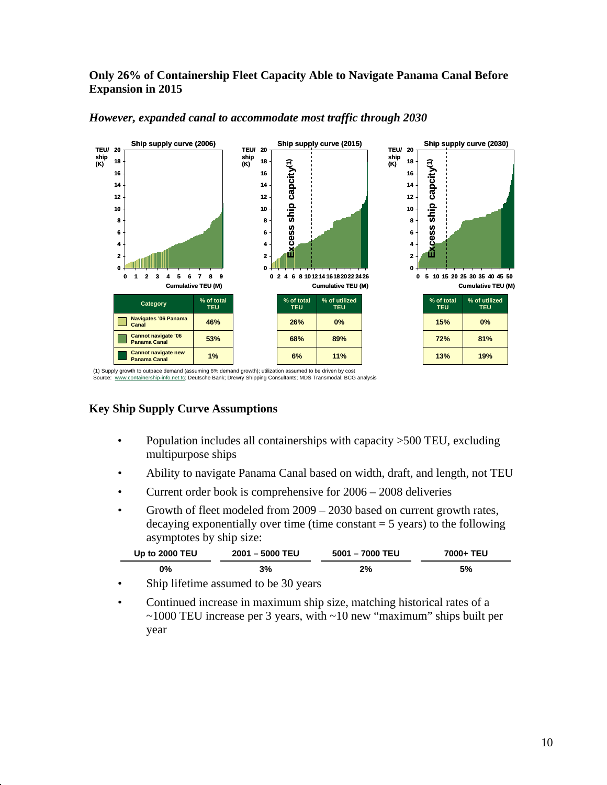#### **Only 26% of Containership Fleet Capacity Able to Navigate Panama Canal Before Expansion in 2015**



#### *However, expanded canal to accommodate most traffic through 2030*

(1) Supply growth to outpace demand (assuming 6% demand growth); utilization assumed to be driven by cost<br>Source: www.containership-info.net.tc; Deutsche Bank; Drewry Shipping Consultants; MDS Transmodal; BCG analysis

#### **Key Ship Supply Curve Assumptions**

- Population includes all containerships with capacity >500 TEU, excluding multipurpose ships
- Ability to navigate Panama Canal based on width, draft, and length, not TEU
- Current order book is comprehensive for 2006 2008 deliveries
- Growth of fleet modeled from 2009 2030 based on current growth rates, decaying exponentially over time (time constant  $=$  5 years) to the following asymptotes by ship size:

| <b>Up to 2000 TEU</b>       | 2001 - 5000 TEU | 5001 - 7000 TEU | 7000+ TEU |  |
|-----------------------------|-----------------|-----------------|-----------|--|
| 0%                          | 3%              | 2%              | 5%        |  |
| $\sim$ $\sim$ $\sim$ $\sim$ | $\Delta$        |                 |           |  |

- Ship lifetime assumed to be 30 years
- Continued increase in maximum ship size, matching historical rates of a ~1000 TEU increase per 3 years, with ~10 new "maximum" ships built per year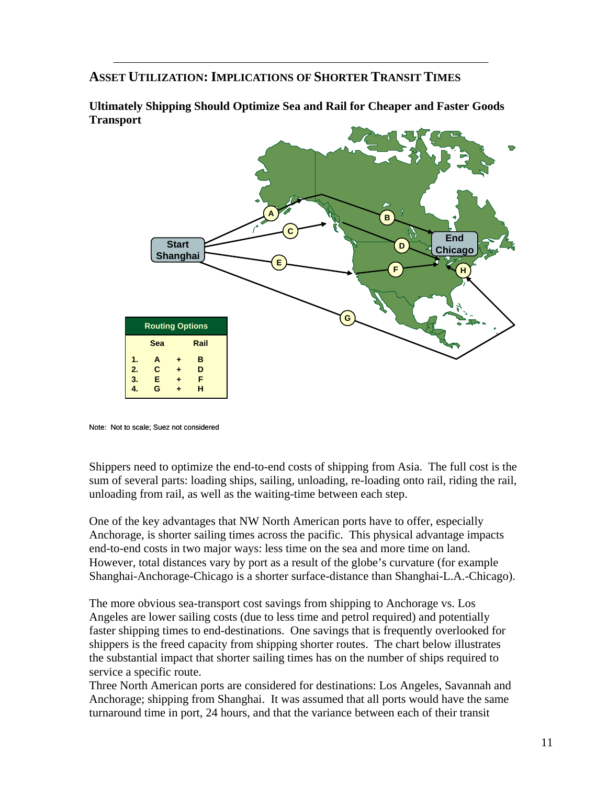### **ASSET UTILIZATION: IMPLICATIONS OF SHORTER TRANSIT TIMES**



**Ultimately Shipping Should Optimize Sea and Rail for Cheaper and Faster Goods Transport** 

Shippers need to optimize the end-to-end costs of shipping from Asia. The full cost is the sum of several parts: loading ships, sailing, unloading, re-loading onto rail, riding the rail, unloading from rail, as well as the waiting-time between each step.

One of the key advantages that NW North American ports have to offer, especially Anchorage, is shorter sailing times across the pacific. This physical advantage impacts end-to-end costs in two major ways: less time on the sea and more time on land. However, total distances vary by port as a result of the globe's curvature (for example Shanghai-Anchorage-Chicago is a shorter surface-distance than Shanghai-L.A.-Chicago).

The more obvious sea-transport cost savings from shipping to Anchorage vs. Los Angeles are lower sailing costs (due to less time and petrol required) and potentially faster shipping times to end-destinations. One savings that is frequently overlooked for shippers is the freed capacity from shipping shorter routes. The chart below illustrates the substantial impact that shorter sailing times has on the number of ships required to service a specific route.

Three North American ports are considered for destinations: Los Angeles, Savannah and Anchorage; shipping from Shanghai. It was assumed that all ports would have the same turnaround time in port, 24 hours, and that the variance between each of their transit

Note: Not to scale; Suez not considered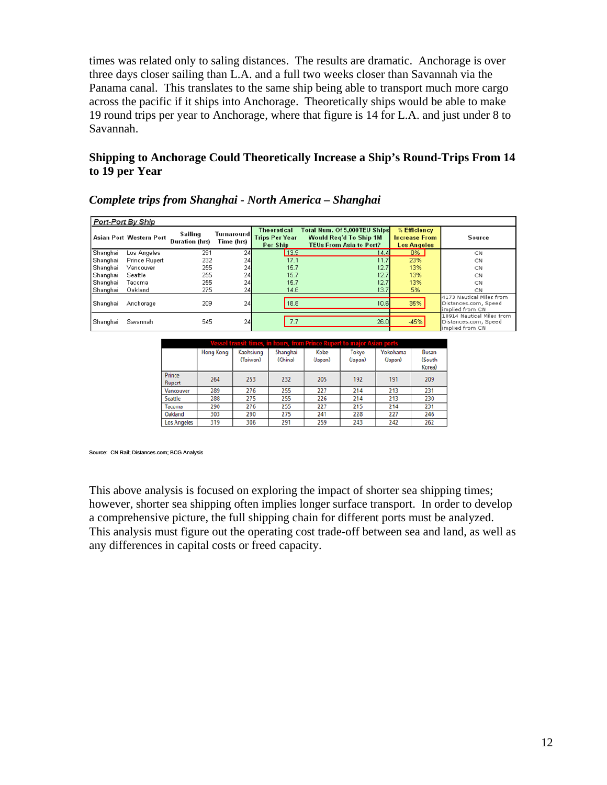times was related only to saling distances. The results are dramatic. Anchorage is over three days closer sailing than L.A. and a full two weeks closer than Savannah via the Panama canal. This translates to the same ship being able to transport much more cargo across the pacific if it ships into Anchorage. Theoretically ships would be able to make 19 round trips per year to Anchorage, where that figure is 14 for L.A. and just under 8 to Savannah.

#### **Shipping to Anchorage Could Theoretically Increase a Ship's Round-Trips From 14 to 19 per Year**

| Port-Port By Ship |                                |                           |                          |                                                         |                                                                                                 |                                                            |                                                                      |  |
|-------------------|--------------------------------|---------------------------|--------------------------|---------------------------------------------------------|-------------------------------------------------------------------------------------------------|------------------------------------------------------------|----------------------------------------------------------------------|--|
|                   | <b>Asian Port Western Port</b> | Sailing<br>Duration (hrs) | Turnaround<br>Time (hrs) | <b>Theoretical</b><br><b>Trips Per Year</b><br>Per Ship | Total Num. Of 5,000TEU Ships<br><b>Would Reg'd To Ship 1M</b><br><b>TEUs From Asia to Port?</b> | % Efficiency<br><b>Increase From</b><br><b>Los Angeles</b> | Source                                                               |  |
| Shanghai          | Los Angeles                    | 291                       | 24                       | 13.9                                                    | 14.4                                                                                            | 0%                                                         | CN                                                                   |  |
| Shanghai          | <b>Prince Rupert</b>           | 232                       | 24                       | 17.1                                                    | 11.7                                                                                            | 23%                                                        | CN                                                                   |  |
| Shanghai          | Vancouver                      | 255                       | 24                       | 15.7                                                    | 12.7                                                                                            | 13%                                                        | CN                                                                   |  |
| Shanghai          | Seattle                        | 255                       | 24                       | 15.7                                                    | 12.7                                                                                            | 13%                                                        | CN                                                                   |  |
| Shanghai          | Tacoma                         | 255                       | 24                       | 15.7                                                    | 12.7                                                                                            | 13%                                                        | CN                                                                   |  |
| Shanghai          | Oakland                        | 275                       | 24                       | 14.6                                                    | 13.7                                                                                            | 5%                                                         | CN                                                                   |  |
| Shanghai          | Anchorage                      | 209                       | 24                       | 18.8                                                    | 10.6                                                                                            | 35%                                                        | 4173 Nautical Miles from<br>Distances.com, Speed<br>implied from CN  |  |
| Shanghai          | Savannah                       | 545                       | 24                       | 7.7                                                     | 26.0                                                                                            | $-45%$                                                     | 10914 Nautical Miles from<br>Distances.com, Speed<br>implied from CN |  |

#### *Complete trips from Shanghai - North America – Shanghai*

| Vessel transit times, in hours, from Prince Ru<br><u>eritio ma</u><br><b>TOTIS</b> |                  |                       |                     |                 |                  |                     |                           |  |
|------------------------------------------------------------------------------------|------------------|-----------------------|---------------------|-----------------|------------------|---------------------|---------------------------|--|
|                                                                                    | <b>Hong Kong</b> | Kaohsiung<br>(Taiwan) | Shanghai<br>(China) | Kobe<br>(Japan) | Tokyo<br>(Japan) | Yokohama<br>(Japan) | Busan<br>(South<br>Korea) |  |
| Prince<br>Rupert                                                                   | 264              | 253                   | 232                 | 205             | 192              | 191                 | 209                       |  |
| Vancouver                                                                          | 289              | 276                   | 255                 | 227             | 214              | 213                 | 231                       |  |
| Seattle                                                                            | 288              | 275                   | 255                 | 226             | 214              | 213                 | 230                       |  |
| Tacoma                                                                             | 290              | 276                   | 255                 | 227             | 215              | 214                 | 231                       |  |
| Oakland                                                                            | 303              | 290                   | 275                 | 241             | 228              | 227                 | 246                       |  |
| Los Angeles                                                                        | 319              | 306                   | 291                 | 259             | 243              | 242                 | 262                       |  |

Source: CN Rail; Distances.com; BCG Analysis

This above analysis is focused on exploring the impact of shorter sea shipping times; however, shorter sea shipping often implies longer surface transport. In order to develop a comprehensive picture, the full shipping chain for different ports must be analyzed. This analysis must figure out the operating cost trade-off between sea and land, as well as any differences in capital costs or freed capacity.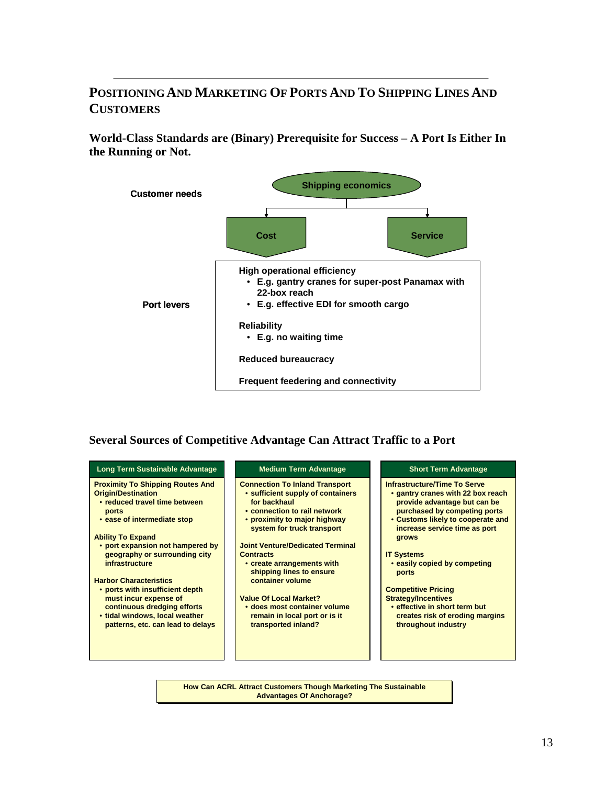## **POSITIONING AND MARKETING OF PORTS AND TO SHIPPING LINES AND CUSTOMERS**

**World-Class Standards are (Binary) Prerequisite for Success – A Port Is Either In the Running or Not.**



#### **Several Sources of Competitive Advantage Can Attract Traffic to a Port**



**How Can ACRL Attract Customers Though Marketing The Sustainable How Can ACRL Attract Customers Though Marketing The Sustainable Advantages Of Anchorage? Advantages Of Anchorage?**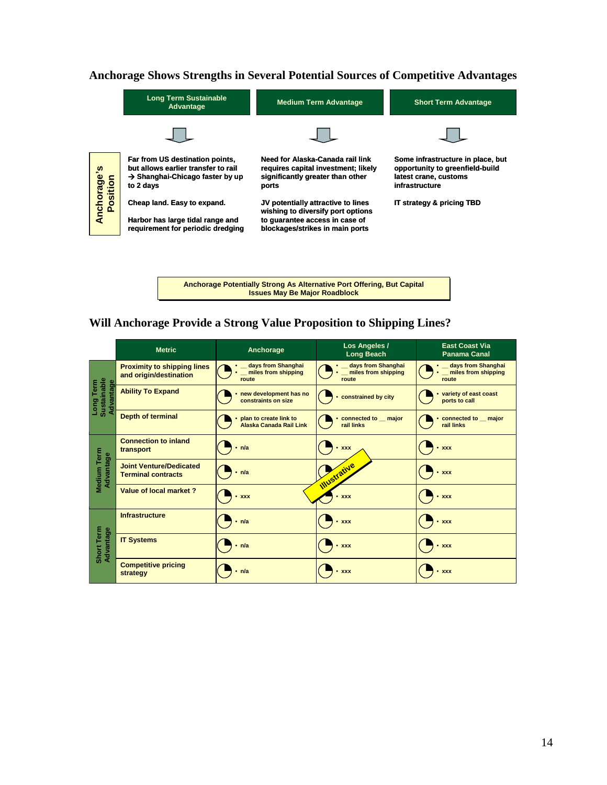#### **Anchorage Shows Strengths in Several Potential Sources of Competitive Advantages**



**Anchorage Potentially Strong As Alternative Port Offering, But Capital Anchorage Potentially Strong As Alternative Port Offering, But Capital Issues May Be Major Roadblock Issues May Be Major Roadblock** 

#### **Will Anchorage Provide a Strong Value Proposition to Shipping Lines?**

|                                       | <b>Metric</b>                                                | Anchorage                                            | Los Angeles /<br><b>Long Beach</b>                   | <b>East Coast Via</b><br><b>Panama Canal</b>         |
|---------------------------------------|--------------------------------------------------------------|------------------------------------------------------|------------------------------------------------------|------------------------------------------------------|
|                                       | <b>Proximity to shipping lines</b><br>and origin/destination | _ days from Shanghai<br>miles from shipping<br>route | • days from Shanghai<br>miles from shipping<br>route | _ days from Shanghai<br>miles from shipping<br>route |
| Sustainable<br>Long Term<br>Advantage | <b>Ability To Expand</b>                                     | new development has no<br>constraints on size        | constrained by city                                  | variety of east coast<br>ports to call               |
|                                       | <b>Depth of terminal</b>                                     | plan to create link to<br>Alaska Canada Rail Link    | connected to major<br>rail links                     | • connected to _ major<br>rail links                 |
|                                       | <b>Connection to inland</b><br>transport                     | $\cdot$ n/a                                          | $\cdot$ xxx                                          | $\cdot$ xxx                                          |
| Medium Term<br>Advantage              | <b>Joint Venture/Dedicated</b><br><b>Terminal contracts</b>  | $\cdot$ n/a                                          | <b>Illustrative</b>                                  | $\cdot$ xxx                                          |
|                                       | Value of local market?                                       | $\cdot$ xxx                                          | $\cdot$ xxx                                          | $\cdot$ xxx                                          |
| Short Term<br>Advantage               | Infrastructure                                               | $\cdot$ n/a                                          | $\cdot$ xxx                                          | $\cdot$ xxx                                          |
|                                       | <b>IT Systems</b>                                            | n/a                                                  | $\cdot$ xxx                                          | • xxx                                                |
|                                       | <b>Competitive pricing</b><br>strategy                       | $\cdot$ n/a                                          | $\cdot$ xxx                                          | $\cdot$ xxx                                          |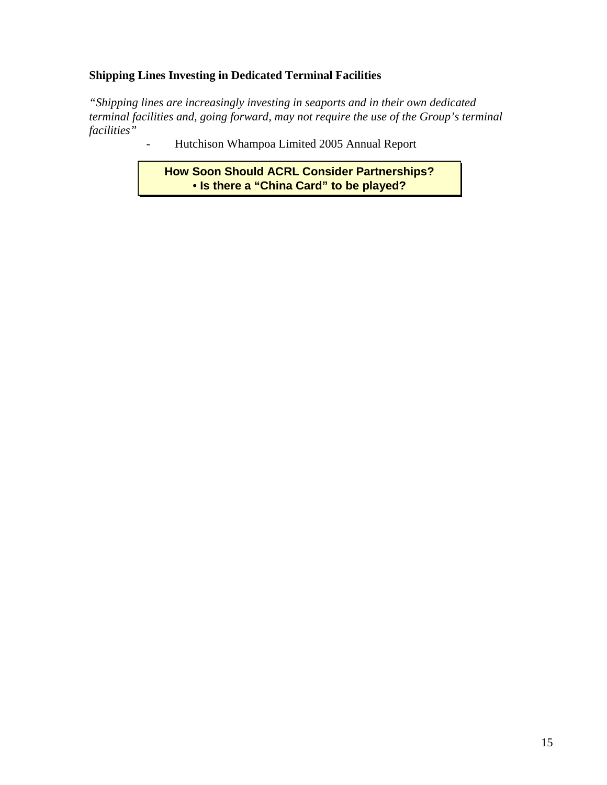### **Shipping Lines Investing in Dedicated Terminal Facilities**

*"Shipping lines are increasingly investing in seaports and in their own dedicated terminal facilities and, going forward, may not require the use of the Group's terminal facilities"* 

- Hutchison Whampoa Limited 2005 Annual Report

**How Soon Should ACRL Consider Partnerships? How Soon Should ACRL Consider Partnerships?** • **Is there a "China Card" to be played?** • **Is there a "China Card" to be played?**